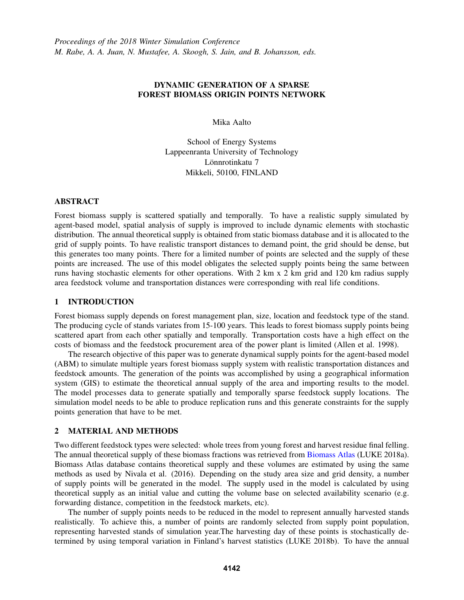# DYNAMIC GENERATION OF A SPARSE FOREST BIOMASS ORIGIN POINTS NETWORK

Mika Aalto

School of Energy Systems Lappeenranta University of Technology Lönnrotinkatu 7 Mikkeli, 50100, FINLAND

## ABSTRACT

Forest biomass supply is scattered spatially and temporally. To have a realistic supply simulated by agent-based model, spatial analysis of supply is improved to include dynamic elements with stochastic distribution. The annual theoretical supply is obtained from static biomass database and it is allocated to the grid of supply points. To have realistic transport distances to demand point, the grid should be dense, but this generates too many points. There for a limited number of points are selected and the supply of these points are increased. The use of this model obligates the selected supply points being the same between runs having stochastic elements for other operations. With 2 km x 2 km grid and 120 km radius supply area feedstock volume and transportation distances were corresponding with real life conditions.

## 1 INTRODUCTION

Forest biomass supply depends on forest management plan, size, location and feedstock type of the stand. The producing cycle of stands variates from 15-100 years. This leads to forest biomass supply points being scattered apart from each other spatially and temporally. Transportation costs have a high effect on the costs of biomass and the feedstock procurement area of the power plant is limited (Allen et al. 1998).

The research objective of this paper was to generate dynamical supply points for the agent-based model (ABM) to simulate multiple years forest biomass supply system with realistic transportation distances and feedstock amounts. The generation of the points was accomplished by using a geographical information system (GIS) to estimate the theoretical annual supply of the area and importing results to the model. The model processes data to generate spatially and temporally sparse feedstock supply locations. The simulation model needs to be able to produce replication runs and this generate constraints for the supply points generation that have to be met.

## 2 MATERIAL AND METHODS

Two different feedstock types were selected: whole trees from young forest and harvest residue final felling. The annual theoretical supply of these biomass fractions was retrieved from Biomass Atlas (LUKE 2018a). Biomass Atlas database contains theoretical supply and these volumes are estimated by using the same methods as used by Nivala et al. (2016). Depending on the study area size and grid density, a number of supply points will be generated in the model. The supply used in the model is calculated by using theoretical supply as an initial value and cutting the volume base on selected availability scenario (e.g. forwarding distance, competition in the feedstock markets, etc).

The number of supply points needs to be reduced in the model to represent annually harvested stands realistically. To achieve this, a number of points are randomly selected from supply point population, representing harvested stands of simulation year.The harvesting day of these points is stochastically determined by using temporal variation in Finland's harvest statistics (LUKE 2018b). To have the annual